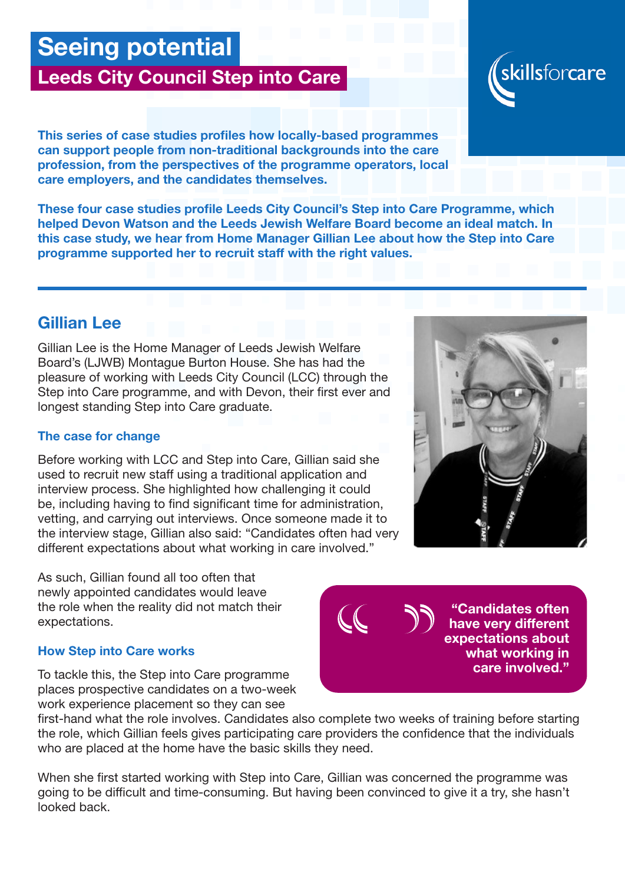# Seeing potential

## Leeds City Council Step into Care

This series of case studies profiles how locally-based programmes can support people from non-traditional backgrounds into the care profession, from the perspectives of the programme operators, local care employers, and the candidates themselves.

These four case studies profile Leeds City Council's Step into Care Programme, which helped Devon Watson and the Leeds Jewish Welfare Board become an ideal match. In this case study, we hear from Home Manager Gillian Lee about how the Step into Care programme supported her to recruit staff with the right values.

### Gillian Lee

Gillian Lee is the Home Manager of Leeds Jewish Welfare Board's (LJWB) Montague Burton House. She has had the pleasure of working with Leeds City Council (LCC) through the Step into Care programme, and with Devon, their first ever and longest standing Step into Care graduate.

#### The case for change

Before working with LCC and Step into Care, Gillian said she used to recruit new staff using a traditional application and interview process. She highlighted how challenging it could be, including having to find significant time for administration, vetting, and carrying out interviews. Once someone made it to the interview stage, Gillian also said: "Candidates often had very different expectations about what working in care involved."

As such, Gillian found all too often that newly appointed candidates would leave the role when the reality did not match their expectations.

#### How Step into Care works

To tackle this, the Step into Care programme places prospective candidates on a two-week work experience placement so they can see

first-hand what the role involves. Candidates also complete two weeks of training before starting the role, which Gillian feels gives participating care providers the confidence that the individuals who are placed at the home have the basic skills they need.

When she first started working with Step into Care, Gillian was concerned the programme was going to be difficult and time-consuming. But having been convinced to give it a try, she hasn't looked back.





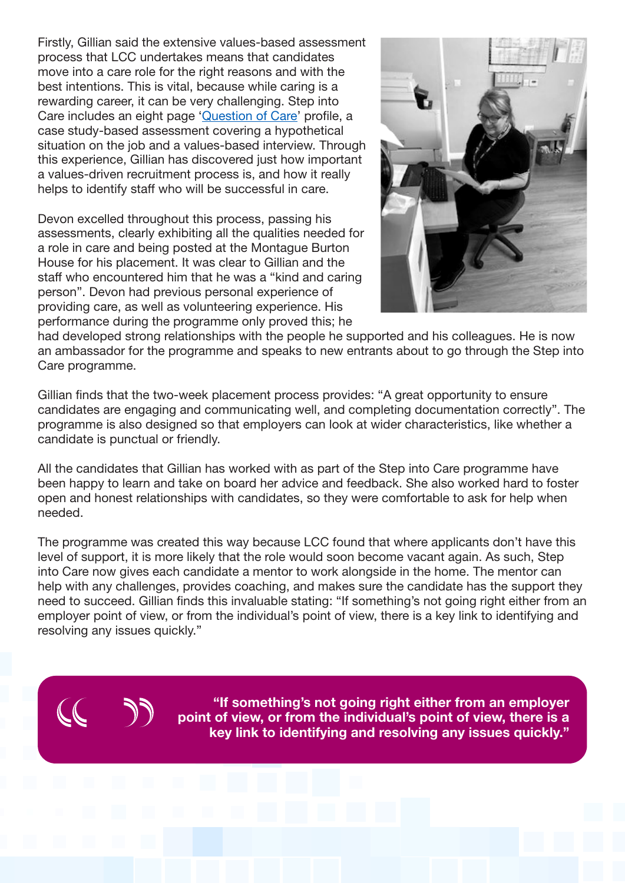Firstly, Gillian said the extensive values-based assessment process that LCC undertakes means that candidates move into a care role for the right reasons and with the best intentions. This is vital, because while caring is a rewarding career, it can be very challenging. Step into Care includes an eight page ['Question of Care](https://www.aquestionofcare.org.uk/)' profile, a case study-based assessment covering a hypothetical situation on the job and a values-based interview. Through this experience, Gillian has discovered just how important a values-driven recruitment process is, and how it really helps to identify staff who will be successful in care.

Devon excelled throughout this process, passing his assessments, clearly exhibiting all the qualities needed for a role in care and being posted at the Montague Burton House for his placement. It was clear to Gillian and the staff who encountered him that he was a "kind and caring person". Devon had previous personal experience of providing care, as well as volunteering experience. His performance during the programme only proved this; he



had developed strong relationships with the people he supported and his colleagues. He is now an ambassador for the programme and speaks to new entrants about to go through the Step into Care programme.

Gillian finds that the two-week placement process provides: "A great opportunity to ensure candidates are engaging and communicating well, and completing documentation correctly". The programme is also designed so that employers can look at wider characteristics, like whether a candidate is punctual or friendly.

All the candidates that Gillian has worked with as part of the Step into Care programme have been happy to learn and take on board her advice and feedback. She also worked hard to foster open and honest relationships with candidates, so they were comfortable to ask for help when needed.

The programme was created this way because LCC found that where applicants don't have this level of support, it is more likely that the role would soon become vacant again. As such, Step into Care now gives each candidate a mentor to work alongside in the home. The mentor can help with any challenges, provides coaching, and makes sure the candidate has the support they need to succeed. Gillian finds this invaluable stating: "If something's not going right either from an employer point of view, or from the individual's point of view, there is a key link to identifying and resolving any issues quickly."



"If something's not going right either from an employer point of view, or from the individual's point of view, there is a key link to identifying and resolving any issues quickly."